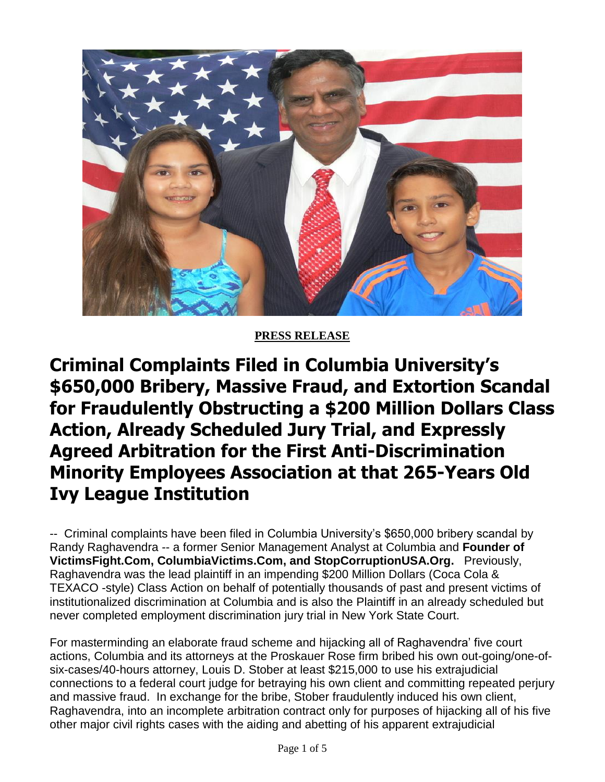

## **PRESS RELEASE**

**Criminal Complaints Filed in Columbia University's \$650,000 Bribery, Massive Fraud, and Extortion Scandal for Fraudulently Obstructing a \$200 Million Dollars Class Action, Already Scheduled Jury Trial, and Expressly Agreed Arbitration for the First Anti-Discrimination Minority Employees Association at that 265-Years Old Ivy League Institution**

-- Criminal complaints have been filed in Columbia University's \$650,000 bribery scandal by Randy Raghavendra -- a former Senior Management Analyst at Columbia and **Founder of VictimsFight.Com, ColumbiaVictims.Com, and StopCorruptionUSA.Org.** Previously, Raghavendra was the lead plaintiff in an impending \$200 Million Dollars (Coca Cola & TEXACO -style) Class Action on behalf of potentially thousands of past and present victims of institutionalized discrimination at Columbia and is also the Plaintiff in an already scheduled but never completed employment discrimination jury trial in New York State Court.

For masterminding an elaborate fraud scheme and hijacking all of Raghavendra' five court actions, Columbia and its attorneys at the Proskauer Rose firm bribed his own out-going/one-ofsix-cases/40-hours attorney, Louis D. Stober at least \$215,000 to use his extrajudicial connections to a federal court judge for betraying his own client and committing repeated perjury and massive fraud. In exchange for the bribe, Stober fraudulently induced his own client, Raghavendra, into an incomplete arbitration contract only for purposes of hijacking all of his five other major civil rights cases with the aiding and abetting of his apparent extrajudicial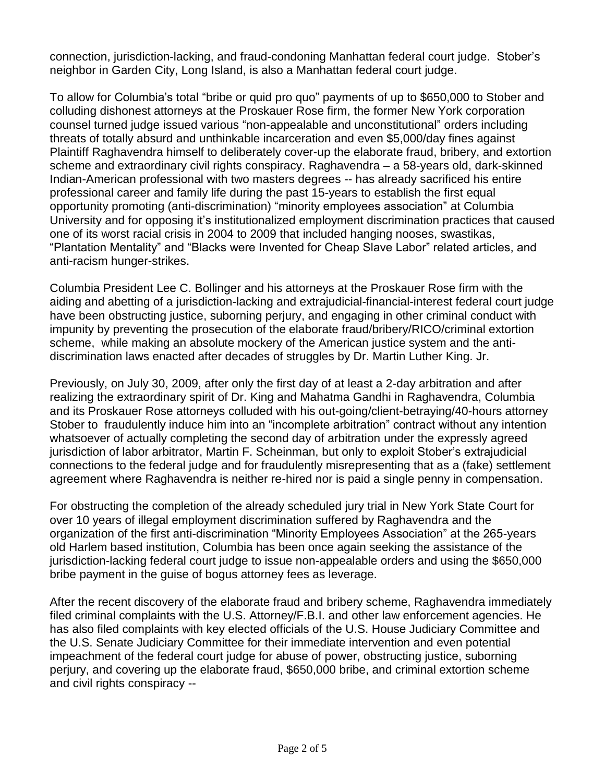connection, jurisdiction-lacking, and fraud-condoning Manhattan federal court judge. Stober's neighbor in Garden City, Long Island, is also a Manhattan federal court judge.

To allow for Columbia's total "bribe or quid pro quo" payments of up to \$650,000 to Stober and colluding dishonest attorneys at the Proskauer Rose firm, the former New York corporation counsel turned judge issued various "non-appealable and unconstitutional" orders including threats of totally absurd and unthinkable incarceration and even \$5,000/day fines against Plaintiff Raghavendra himself to deliberately cover-up the elaborate fraud, bribery, and extortion scheme and extraordinary civil rights conspiracy. Raghavendra – a 58-years old, dark-skinned Indian-American professional with two masters degrees -- has already sacrificed his entire professional career and family life during the past 15-years to establish the first equal opportunity promoting (anti-discrimination) "minority employees association" at Columbia University and for opposing it's institutionalized employment discrimination practices that caused one of its worst racial crisis in 2004 to 2009 that included hanging nooses, swastikas, "Plantation Mentality" and "Blacks were Invented for Cheap Slave Labor" related articles, and anti-racism hunger-strikes.

Columbia President Lee C. Bollinger and his attorneys at the Proskauer Rose firm with the aiding and abetting of a jurisdiction-lacking and extrajudicial-financial-interest federal court judge have been obstructing justice, suborning perjury, and engaging in other criminal conduct with impunity by preventing the prosecution of the elaborate fraud/bribery/RICO/criminal extortion scheme, while making an absolute mockery of the American justice system and the antidiscrimination laws enacted after decades of struggles by Dr. Martin Luther King. Jr.

Previously, on July 30, 2009, after only the first day of at least a 2-day arbitration and after realizing the extraordinary spirit of Dr. King and Mahatma Gandhi in Raghavendra, Columbia and its Proskauer Rose attorneys colluded with his out-going/client-betraying/40-hours attorney Stober to fraudulently induce him into an "incomplete arbitration" contract without any intention whatsoever of actually completing the second day of arbitration under the expressly agreed jurisdiction of labor arbitrator, Martin F. Scheinman, but only to exploit Stober's extrajudicial connections to the federal judge and for fraudulently misrepresenting that as a (fake) settlement agreement where Raghavendra is neither re-hired nor is paid a single penny in compensation.

For obstructing the completion of the already scheduled jury trial in New York State Court for over 10 years of illegal employment discrimination suffered by Raghavendra and the organization of the first anti-discrimination "Minority Employees Association" at the 265-years old Harlem based institution, Columbia has been once again seeking the assistance of the jurisdiction-lacking federal court judge to issue non-appealable orders and using the \$650,000 bribe payment in the guise of bogus attorney fees as leverage.

After the recent discovery of the elaborate fraud and bribery scheme, Raghavendra immediately filed criminal complaints with the U.S. Attorney/F.B.I. and other law enforcement agencies. He has also filed complaints with key elected officials of the U.S. House Judiciary Committee and the U.S. Senate Judiciary Committee for their immediate intervention and even potential impeachment of the federal court judge for abuse of power, obstructing justice, suborning perjury, and covering up the elaborate fraud, \$650,000 bribe, and criminal extortion scheme and civil rights conspiracy --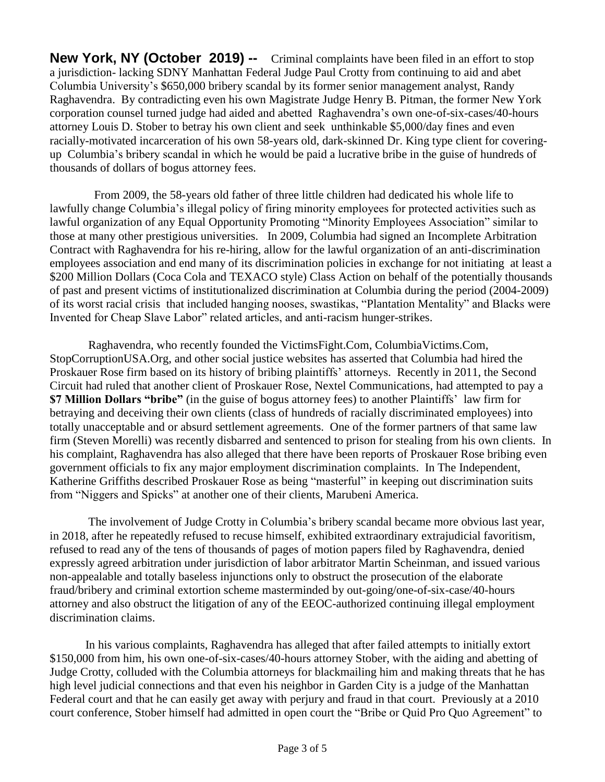**New York, NY (October 2019) --** Criminal complaints have been filed in an effort to stop a jurisdiction- lacking SDNY Manhattan Federal Judge Paul Crotty from continuing to aid and abet Columbia University's \$650,000 bribery scandal by its former senior management analyst, Randy Raghavendra. By contradicting even his own Magistrate Judge Henry B. Pitman, the former New York corporation counsel turned judge had aided and abetted Raghavendra's own one-of-six-cases/40-hours attorney Louis D. Stober to betray his own client and seek unthinkable \$5,000/day fines and even racially-motivated incarceration of his own 58-years old, dark-skinned Dr. King type client for coveringup Columbia's bribery scandal in which he would be paid a lucrative bribe in the guise of hundreds of thousands of dollars of bogus attorney fees.

 From 2009, the 58-years old father of three little children had dedicated his whole life to lawfully change Columbia's illegal policy of firing minority employees for protected activities such as lawful organization of any Equal Opportunity Promoting "Minority Employees Association" similar to those at many other prestigious universities. In 2009, Columbia had signed an Incomplete Arbitration Contract with Raghavendra for his re-hiring, allow for the lawful organization of an anti-discrimination employees association and end many of its discrimination policies in exchange for not initiating at least a \$200 Million Dollars (Coca Cola and TEXACO style) Class Action on behalf of the potentially thousands of past and present victims of institutionalized discrimination at Columbia during the period (2004-2009) of its worst racial crisis that included hanging nooses, swastikas, "Plantation Mentality" and Blacks were Invented for Cheap Slave Labor" related articles, and anti-racism hunger-strikes.

 Raghavendra, who recently founded the VictimsFight.Com, ColumbiaVictims.Com, StopCorruptionUSA.Org, and other social justice websites has asserted that Columbia had hired the Proskauer Rose firm based on its history of bribing plaintiffs' attorneys. Recently in 2011, the Second Circuit had ruled that another client of Proskauer Rose, Nextel Communications, had attempted to pay a **\$7 Million Dollars "bribe"** (in the guise of bogus attorney fees) to another Plaintiffs' law firm for betraying and deceiving their own clients (class of hundreds of racially discriminated employees) into totally unacceptable and or absurd settlement agreements. One of the former partners of that same law firm (Steven Morelli) was recently disbarred and sentenced to prison for stealing from his own clients. In his complaint, Raghavendra has also alleged that there have been reports of Proskauer Rose bribing even government officials to fix any major employment discrimination complaints. In The Independent, Katherine Griffiths described Proskauer Rose as being "masterful" in keeping out discrimination suits from "Niggers and Spicks" at another one of their clients, Marubeni America.

 The involvement of Judge Crotty in Columbia's bribery scandal became more obvious last year, in 2018, after he repeatedly refused to recuse himself, exhibited extraordinary extrajudicial favoritism, refused to read any of the tens of thousands of pages of motion papers filed by Raghavendra, denied expressly agreed arbitration under jurisdiction of labor arbitrator Martin Scheinman, and issued various non-appealable and totally baseless injunctions only to obstruct the prosecution of the elaborate fraud/bribery and criminal extortion scheme masterminded by out-going/one-of-six-case/40-hours attorney and also obstruct the litigation of any of the EEOC-authorized continuing illegal employment discrimination claims.

 In his various complaints, Raghavendra has alleged that after failed attempts to initially extort \$150,000 from him, his own one-of-six-cases/40-hours attorney Stober, with the aiding and abetting of Judge Crotty, colluded with the Columbia attorneys for blackmailing him and making threats that he has high level judicial connections and that even his neighbor in Garden City is a judge of the Manhattan Federal court and that he can easily get away with perjury and fraud in that court. Previously at a 2010 court conference, Stober himself had admitted in open court the "Bribe or Quid Pro Quo Agreement" to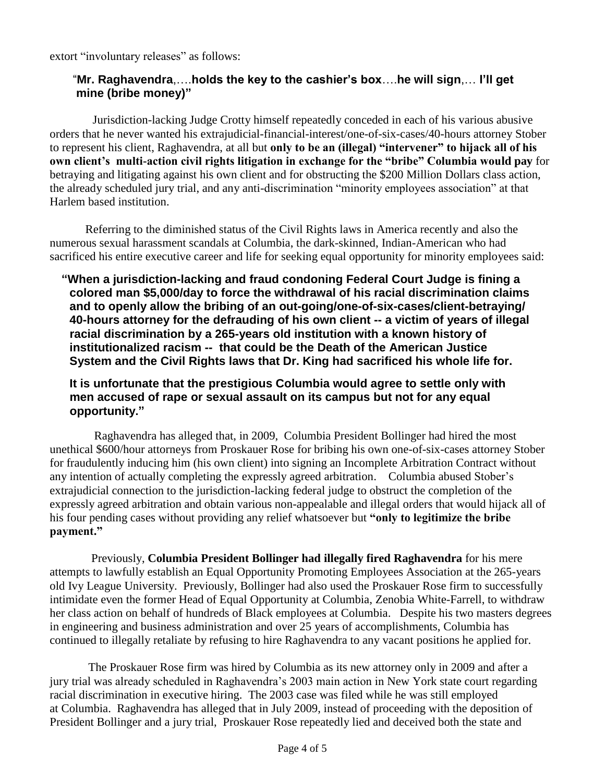extort "involuntary releases" as follows:

## "**Mr. Raghavendra**,….**holds the key to the cashier's box**….**he will sign**,… **I'll get mine (bribe money)"**

 Jurisdiction-lacking Judge Crotty himself repeatedly conceded in each of his various abusive orders that he never wanted his extrajudicial-financial-interest/one-of-six-cases/40-hours attorney Stober to represent his client, Raghavendra, at all but **only to be an (illegal) "intervener" to hijack all of his own client's multi-action civil rights litigation in exchange for the "bribe" Columbia would pay** for betraying and litigating against his own client and for obstructing the \$200 Million Dollars class action, the already scheduled jury trial, and any anti-discrimination "minority employees association" at that Harlem based institution.

 Referring to the diminished status of the Civil Rights laws in America recently and also the numerous sexual harassment scandals at Columbia, the dark-skinned, Indian-American who had sacrificed his entire executive career and life for seeking equal opportunity for minority employees said:

 **"When a jurisdiction-lacking and fraud condoning Federal Court Judge is fining a colored man \$5,000/day to force the withdrawal of his racial discrimination claims and to openly allow the bribing of an out-going/one-of-six-cases/client-betraying/ 40-hours attorney for the defrauding of his own client -- a victim of years of illegal racial discrimination by a 265-years old institution with a known history of institutionalized racism -- that could be the Death of the American Justice System and the Civil Rights laws that Dr. King had sacrificed his whole life for.** 

 **It is unfortunate that the prestigious Columbia would agree to settle only with men accused of rape or sexual assault on its campus but not for any equal opportunity."**

 Raghavendra has alleged that, in 2009, Columbia President Bollinger had hired the most unethical \$600/hour attorneys from Proskauer Rose for bribing his own one-of-six-cases attorney Stober for fraudulently inducing him (his own client) into signing an Incomplete Arbitration Contract without any intention of actually completing the expressly agreed arbitration. Columbia abused Stober's extrajudicial connection to the jurisdiction-lacking federal judge to obstruct the completion of the expressly agreed arbitration and obtain various non-appealable and illegal orders that would hijack all of his four pending cases without providing any relief whatsoever but **"only to legitimize the bribe payment."** 

 Previously, **Columbia President Bollinger had illegally fired Raghavendra** for his mere attempts to lawfully establish an Equal Opportunity Promoting Employees Association at the 265-years old Ivy League University. Previously, Bollinger had also used the Proskauer Rose firm to successfully intimidate even the former Head of Equal Opportunity at Columbia, Zenobia White-Farrell, to withdraw her class action on behalf of hundreds of Black employees at Columbia. Despite his two masters degrees in engineering and business administration and over 25 years of accomplishments, Columbia has continued to illegally retaliate by refusing to hire Raghavendra to any vacant positions he applied for.

The Proskauer Rose firm was hired by Columbia as its new attorney only in 2009 and after a jury trial was already scheduled in Raghavendra's 2003 main action in New York state court regarding racial discrimination in executive hiring. The 2003 case was filed while he was still employed at Columbia. Raghavendra has alleged that in July 2009, instead of proceeding with the deposition of President Bollinger and a jury trial, Proskauer Rose repeatedly lied and deceived both the state and